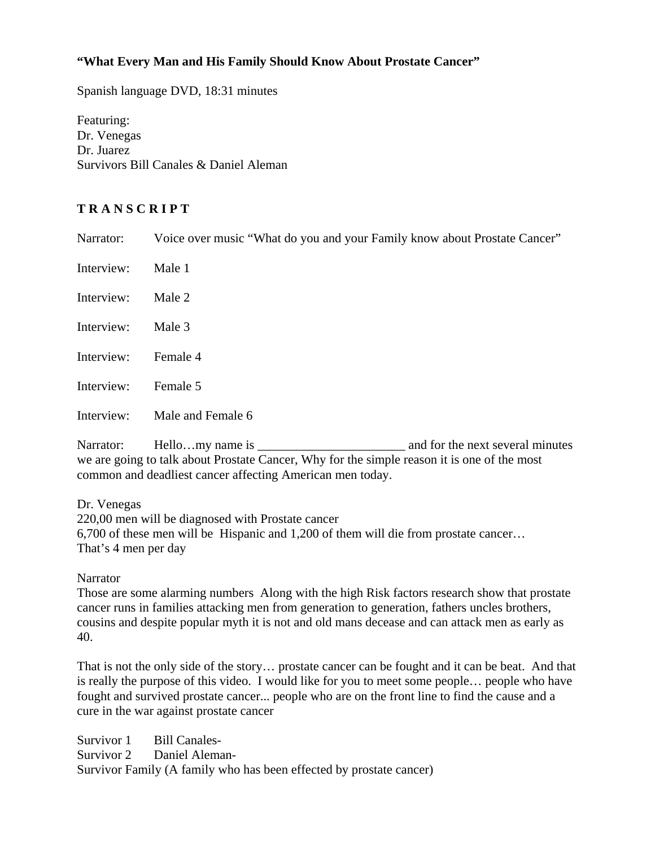# **"What Every Man and His Family Should Know About Prostate Cancer"**

Spanish language DVD, 18:31 minutes

Featuring: Dr. Venegas Dr. Juarez Survivors Bill Canales & Daniel Aleman

# **T R A N S C R I P T**

Narrator: Voice over music "What do you and your Family know about Prostate Cancer"

| Interview: Male 1   |                              |
|---------------------|------------------------------|
| Interview: Male 2   |                              |
| Interview: Male 3   |                              |
| Interview: Female 4 |                              |
| Interview: Female 5 |                              |
|                     | Interview: Male and Female 6 |

Narrator: Hello…my name is and for the next several minutes we are going to talk about Prostate Cancer, Why for the simple reason it is one of the most common and deadliest cancer affecting American men today.

Dr. Venegas 220,00 men will be diagnosed with Prostate cancer 6,700 of these men will be Hispanic and 1,200 of them will die from prostate cancer… That's 4 men per day

**Narrator** 

Those are some alarming numbers Along with the high Risk factors research show that prostate cancer runs in families attacking men from generation to generation, fathers uncles brothers, cousins and despite popular myth it is not and old mans decease and can attack men as early as 40.

That is not the only side of the story… prostate cancer can be fought and it can be beat. And that is really the purpose of this video. I would like for you to meet some people… people who have fought and survived prostate cancer... people who are on the front line to find the cause and a cure in the war against prostate cancer

Survivor 1 Bill Canales-Survivor 2 Daniel Aleman-Survivor Family (A family who has been effected by prostate cancer)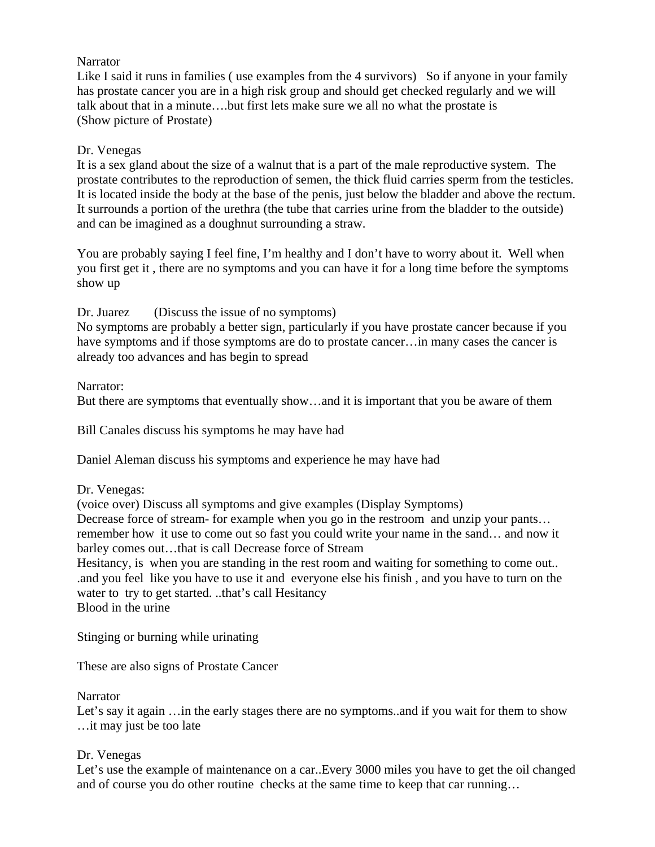# **Narrator**

Like I said it runs in families (use examples from the 4 survivors) So if anyone in your family has prostate cancer you are in a high risk group and should get checked regularly and we will talk about that in a minute….but first lets make sure we all no what the prostate is (Show picture of Prostate)

# Dr. Venegas

It is a sex gland about the size of a walnut that is a part of the male reproductive system. The prostate contributes to the reproduction of semen, the thick fluid carries sperm from the testicles. It is located inside the body at the base of the penis, just below the bladder and above the rectum. It surrounds a portion of the urethra (the tube that carries urine from the bladder to the outside) and can be imagined as a doughnut surrounding a straw.

You are probably saying I feel fine, I'm healthy and I don't have to worry about it. Well when you first get it , there are no symptoms and you can have it for a long time before the symptoms show up

Dr. Juarez (Discuss the issue of no symptoms)

No symptoms are probably a better sign, particularly if you have prostate cancer because if you have symptoms and if those symptoms are do to prostate cancer...in many cases the cancer is already too advances and has begin to spread

# Narrator:

But there are symptoms that eventually show…and it is important that you be aware of them

Bill Canales discuss his symptoms he may have had

Daniel Aleman discuss his symptoms and experience he may have had

#### Dr. Venegas:

(voice over) Discuss all symptoms and give examples (Display Symptoms) Decrease force of stream- for example when you go in the restroom and unzip your pants... remember how it use to come out so fast you could write your name in the sand… and now it barley comes out…that is call Decrease force of Stream

Hesitancy, is when you are standing in the rest room and waiting for something to come out... .and you feel like you have to use it and everyone else his finish , and you have to turn on the water to try to get started. ..that's call Hesitancy

Blood in the urine

Stinging or burning while urinating

These are also signs of Prostate Cancer

**Narrator** 

Let's say it again ... in the early stages there are no symptoms..and if you wait for them to show …it may just be too late

#### Dr. Venegas

Let's use the example of maintenance on a car..Every 3000 miles you have to get the oil changed and of course you do other routine checks at the same time to keep that car running…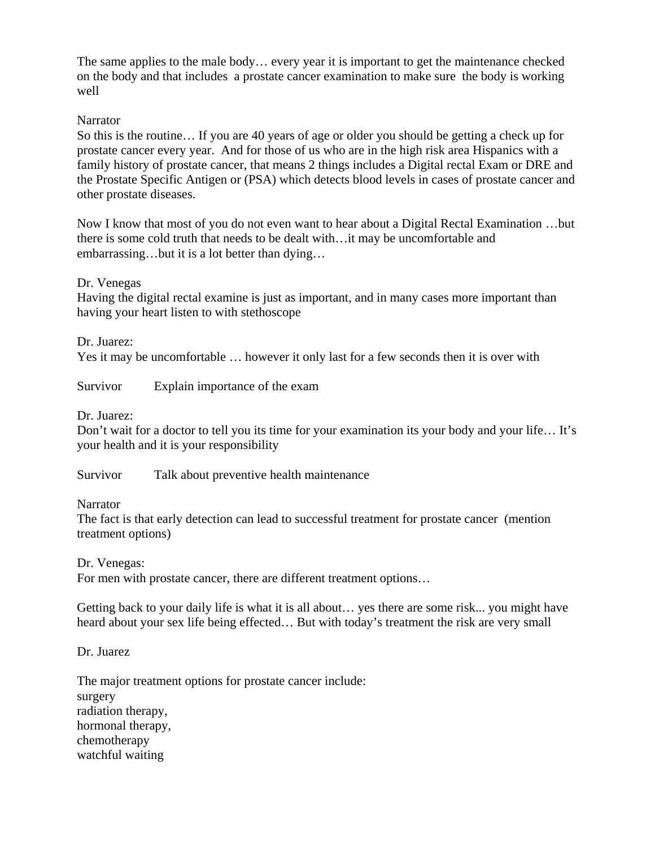The same applies to the male body… every year it is important to get the maintenance checked on the body and that includes a prostate cancer examination to make sure the body is working well

### **Narrator**

So this is the routine… If you are 40 years of age or older you should be getting a check up for prostate cancer every year. And for those of us who are in the high risk area Hispanics with a family history of prostate cancer, that means 2 things includes a Digital rectal Exam or DRE and the Prostate Specific Antigen or (PSA) which detects blood levels in cases of prostate cancer and other prostate diseases.

Now I know that most of you do not even want to hear about a Digital Rectal Examination …but there is some cold truth that needs to be dealt with…it may be uncomfortable and embarrassing…but it is a lot better than dying…

Dr. Venegas

Having the digital rectal examine is just as important, and in many cases more important than having your heart listen to with stethoscope

Dr. Juarez:

Yes it may be uncomfortable … however it only last for a few seconds then it is over with

Survivor Explain importance of the exam

Dr. Juarez:

Don't wait for a doctor to tell you its time for your examination its your body and your life… It's your health and it is your responsibility

Survivor Talk about preventive health maintenance

**Narrator** 

The fact is that early detection can lead to successful treatment for prostate cancer (mention treatment options)

Dr. Venegas:

For men with prostate cancer, there are different treatment options...

Getting back to your daily life is what it is all about… yes there are some risk... you might have heard about your sex life being effected… But with today's treatment the risk are very small

Dr. Juarez

The major treatment options for prostate cancer include: surgery radiation therapy, hormonal therapy, chemotherapy watchful waiting